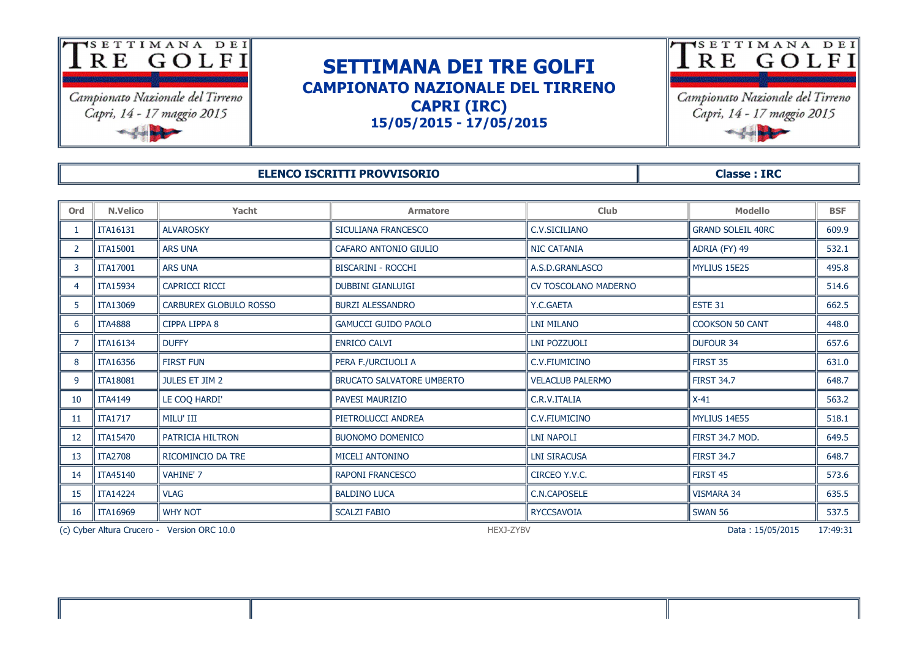

## **SETTIMANA DEI TRE GOLFI CAMPIONATO NAZIONALE DEL TIRRENO CAPRI (IRC) 15/05/2015 - 17/05/2015**



Campionato Nazionale del Tirreno Capri, 14 - 17 maggio 2015

## **ELENCO ISCRITTI PROVVISORIO Classe : IRC**

**Ord N.Velico Yacht Armatore Club Modello BSF** 1 || ITA16131 || ALVAROSKY || SICULIANA FRANCESCO || C.V.SICILIANO || GRAND SOLEIL 40RC || 609.9 2 TTA15001 NARS UNA CAFARO ANTONIO GIULIO NIC CATANIA NO CATANIA CATANIA NIC CATANIA NIC CATANIA NI ADRIA (FY) 49 NI 532.1 3 ITA17001 ARS UNA BISCARINI - ROCCHI A.S.D.GRANLASCO MYLIUS 15E25 495.8 4 ITA15934 CAPRICCI RICCI DUBBINI GIANLUIGI CV TOSCOLANO MADERNO 514.6 5 TTA13069 CARBUREX GLOBULO ROSSO NBURZI ALESSANDRO NY.C.GAETA NYALESSANDRO NY LOGAETA NYALESSANDRO NY SALIFIANDA NY KORATA NY KORATA NY KORATA NY KORATA NY KORATA NY KORATA NY KORATA NY KORATA NY KORATA NY KORATA NY KORAT 6 ITA4888 CIPPA LIPPA 8 GAMUCCI GUIDO PAOLO LNI MILANO COOKSON 50 CANT 448.0 7 || ITA16134 || DUFFY || ENRICO CALVI || LNI POZZUOLI || DUFOUR 34 || 657.6 8 || ITA16356 || FIRST FUN || PERA F./URCIUOLI A || 631.0 9 TTA18081 TULES ET 11M 2 BRUCATO SALVATORE UMBERTO THE ACLUB PALERMO THE IRST 34.7 THE G48.7 10 ITA4149 LE COQ HARDI' PAVESI MAURIZIO C.R.V.ITALIA X-41 563.2 11 || ITA1717 || MILU' III || PIETROLUCCI ANDREA || C.V.FIUMICINO || MYLIUS 14E55 || 518.1 12 ITA15470 PATRICIA HILTRON BUONOMO DOMENICO LNI NAPOLI FIRST 34.7 MOD. 649.5 13 ITA2708 RICOMINCIO DA TRE MICELI ANTONINO LNI SIRACUSA FIRST 34.7 648.7 14 || ITA45140 || VAHINE' 7 || RAPONI FRANCESCO || CIRCEO Y.V.C. || FIRST 45 || 573.6 15 ITA14224 VLAG BALDINO LUCA C.N.CAPOSELE VISMARA 34 635.5 16 || ITA16969 || WHY NOT || SCALZI FABIO || RYCCSAVOIA || SWAN 56 || 537.5

(c) Cyber Altura Crucero - Version ORC 10.0 **https://expanditional.com/information** HEXJ-ZYBV Data : 15/05/2015 17:49:31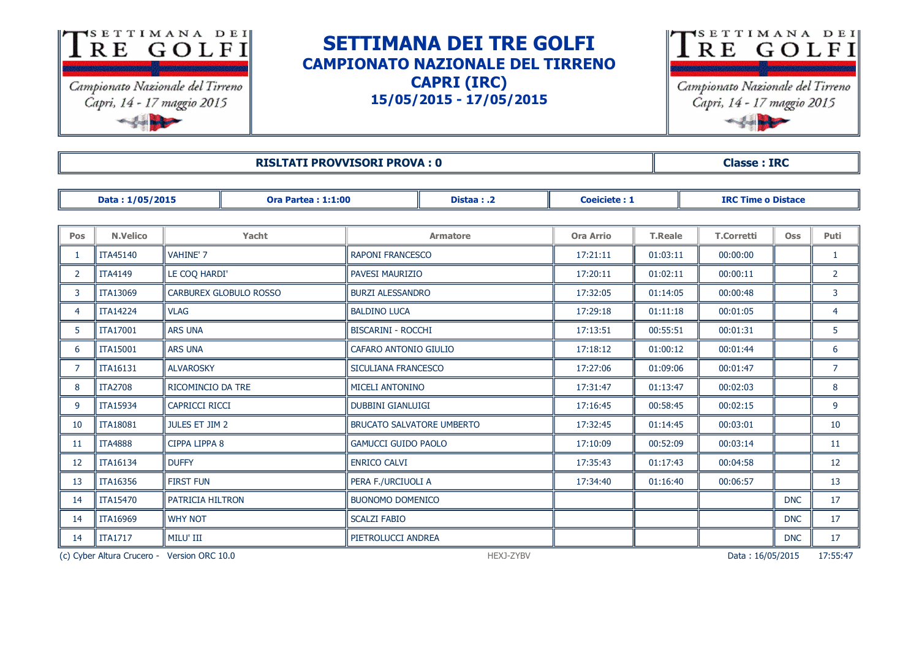

## **SETTIMANA DEI TRE GOLFI CAMPIONATO NAZIONALE DEL TIRRENO CAPRI (IRC) 15/05/2015 - 17/05/2015**



**RISLTATI PROVVISORI PROVA : 0 All and SOLUTION CONSTRUCTION CONSTRUCTION CONSTRUCTION CONSTRUCTION CONSTRUCTION** 

|                | Data: 1/05/2015 |                       | <b>Ora Partea: 1:1:00</b>     | Distaa:.2                        |                 | <b>Coeiciete: 1</b> |                | <b>IRC Time o Distace</b> |            |                |
|----------------|-----------------|-----------------------|-------------------------------|----------------------------------|-----------------|---------------------|----------------|---------------------------|------------|----------------|
|                |                 |                       |                               |                                  |                 |                     |                |                           |            |                |
| <b>Pos</b>     | <b>N.Velico</b> |                       | Yacht                         |                                  | <b>Armatore</b> | <b>Ora Arrio</b>    | <b>T.Reale</b> | <b>T.Corretti</b>         | <b>Oss</b> | Puti           |
|                | <b>ITA45140</b> | <b>VAHINE' 7</b>      |                               | <b>RAPONI FRANCESCO</b>          |                 | 17:21:11            | 01:03:11       | 00:00:00                  |            | 1              |
| $\overline{2}$ | <b>ITA4149</b>  | LE COQ HARDI'         |                               | PAVESI MAURIZIO                  |                 | 17:20:11            | 01:02:11       | 00:00:11                  |            | $\overline{2}$ |
| 3              | ITA13069        |                       | <b>CARBUREX GLOBULO ROSSO</b> | <b>BURZI ALESSANDRO</b>          |                 | 17:32:05            | 01:14:05       | 00:00:48                  |            | 3              |
| 4              | <b>ITA14224</b> | <b>VLAG</b>           |                               | <b>BALDINO LUCA</b>              |                 | 17:29:18            | 01:11:18       |                           |            | $\overline{4}$ |
| 5              | ITA17001        | <b>ARS UNA</b>        |                               | <b>BISCARINI - ROCCHI</b>        |                 | 17:13:51            | 00:55:51       | 00:01:31                  |            | 5 <sup>1</sup> |
| 6              | <b>ITA15001</b> | <b>ARS UNA</b>        |                               | CAFARO ANTONIO GIULIO            |                 | 17:18:12            | 01:00:12       | 00:01:44                  |            | 6              |
| $\overline{7}$ | ITA16131        | <b>ALVAROSKY</b>      |                               | SICULIANA FRANCESCO              |                 | 17:27:06            | 01:09:06       | 00:01:47                  |            | $\overline{7}$ |
| 8              | <b>ITA2708</b>  | RICOMINCIO DA TRE     |                               | <b>MICELI ANTONINO</b>           |                 | 17:31:47            | 01:13:47       | 00:02:03                  |            | 8              |
| 9              | <b>ITA15934</b> | <b>CAPRICCI RICCI</b> |                               | <b>DUBBINI GIANLUIGI</b>         |                 | 17:16:45            | 00:58:45       | 00:02:15                  |            | 9              |
| 10             | <b>ITA18081</b> | <b>JULES ET JIM 2</b> |                               | <b>BRUCATO SALVATORE UMBERTO</b> |                 | 17:32:45            | 01:14:45       | 00:03:01                  |            | 10             |
| 11             | <b>ITA4888</b>  | CIPPA LIPPA 8         |                               | <b>GAMUCCI GUIDO PAOLO</b>       |                 | 17:10:09            | 00:52:09       | 00:03:14                  |            | 11             |
| 12             | <b>ITA16134</b> | <b>DUFFY</b>          |                               | <b>ENRICO CALVI</b>              |                 | 17:35:43            | 01:17:43       | 00:04:58                  |            | 12             |
| 13             | <b>ITA16356</b> | <b>FIRST FUN</b>      |                               | PERA F./URCIUOLI A               |                 | 17:34:40            | 01:16:40       | 00:06:57                  |            | 13             |
| 14             | <b>ITA15470</b> | PATRICIA HILTRON      |                               | <b>BUONOMO DOMENICO</b>          |                 |                     |                |                           | <b>DNC</b> | 17             |
| 14             | <b>ITA16969</b> | <b>WHY NOT</b>        |                               | <b>SCALZI FABIO</b>              |                 |                     |                |                           | <b>DNC</b> | 17             |
| 14             | <b>ITA1717</b>  | MILU' III             |                               | PIETROLUCCI ANDREA               |                 |                     |                |                           | <b>DNC</b> | 17             |

(c) Cyber Altura Crucero - Version ORC 10.0 HEXJ-ZYBV Data : 16/05/2015 17:55:47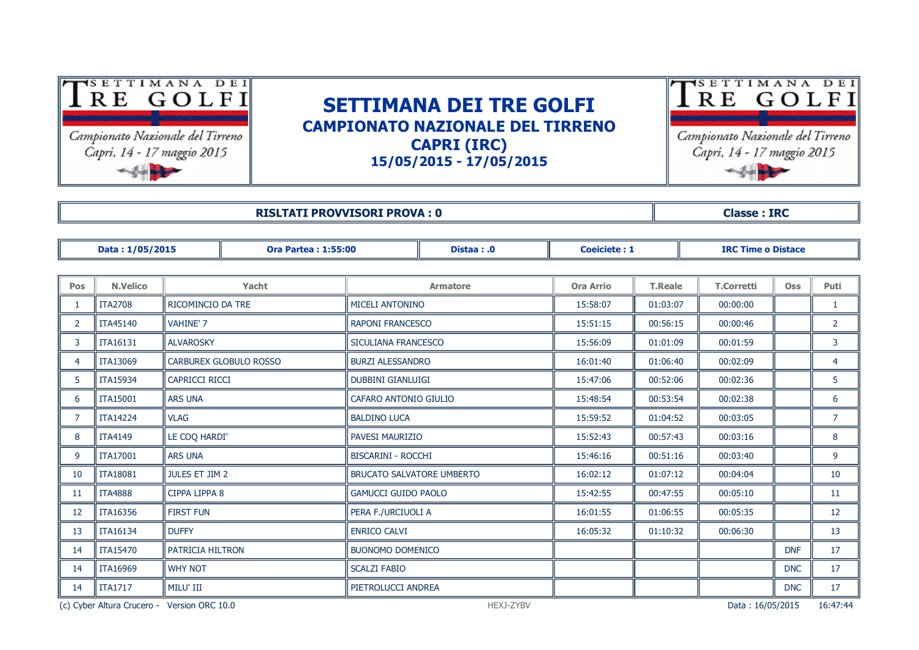

Campionato Nazionale del Tirreno Capri, 14 - 17 maggio 2015

## **SETTIMANA DEI TRE GOLFI CAMPIONATO NAZIONALE DEL TIRRENO CAPRI (IRC) 15/05/2015 - 17/05/2015**



|                | <b>RISLTATI PROVVISORI PROVA: 0</b> |                        |                            |                            |                           |                     |                | <b>Classe: IRC</b>        |            |                |  |  |
|----------------|-------------------------------------|------------------------|----------------------------|----------------------------|---------------------------|---------------------|----------------|---------------------------|------------|----------------|--|--|
|                |                                     |                        |                            |                            |                           |                     |                |                           |            |                |  |  |
|                | Data: 1/05/2015                     |                        | <b>Ora Partea: 1:55:00</b> |                            | Distaa: .0                | <b>Coeiciete: 1</b> |                | <b>IRC Time o Distace</b> |            |                |  |  |
|                |                                     |                        |                            |                            |                           |                     |                |                           |            |                |  |  |
| Pos            | <b>N.Velico</b>                     |                        | Yacht                      |                            | <b>Armatore</b>           |                     | <b>T.Reale</b> | <b>T.Corretti</b>         | <b>Oss</b> | Puti           |  |  |
|                | <b>ITA2708</b>                      | RICOMINCIO DA TRE      |                            | MICELI ANTONINO            |                           | 15:58:07            | 01:03:07       | 00:00:00                  |            | -1             |  |  |
| $\overline{2}$ | <b>ITA45140</b>                     | <b>VAHINE' 7</b>       |                            | <b>RAPONI FRANCESCO</b>    |                           | 15:51:15            | 00:56:15       | 00:00:46                  |            | $\overline{2}$ |  |  |
| 3              | <b>ITA16131</b>                     | <b>ALVAROSKY</b>       |                            |                            | SICULIANA FRANCESCO       |                     | 01:01:09       | 00:01:59                  |            | 3              |  |  |
| 4              | <b>ITA13069</b>                     | CARBUREX GLOBULO ROSSO |                            | <b>BURZI ALESSANDRO</b>    |                           | 16:01:40            | 01:06:40       | 00:02:09                  |            | $\overline{4}$ |  |  |
| 5              | <b>ITA15934</b>                     | <b>CAPRICCI RICCI</b>  |                            | <b>DUBBINI GIANLUIGI</b>   |                           | 15:47:06            | 00:52:06       | 00:02:36                  |            | 5              |  |  |
| 6              | <b>ITA15001</b>                     | <b>ARS UNA</b>         |                            |                            | CAFARO ANTONIO GIULIO     |                     | 00:53:54       | 00:02:38                  |            | 6              |  |  |
|                | <b>ITA14224</b>                     | <b>VLAG</b>            |                            | <b>BALDINO LUCA</b>        |                           |                     | 01:04:52       | 00:03:05                  |            | $\overline{7}$ |  |  |
| 8              | <b>ITA4149</b>                      | LE COQ HARDI'          |                            |                            | PAVESI MAURIZIO           |                     | 00:57:43       | 00:03:16                  |            | 8              |  |  |
| 9              | ITA17001                            | <b>ARS UNA</b>         |                            |                            | <b>BISCARINI - ROCCHI</b> |                     | 00:51:16       | 00:03:40                  |            | 9              |  |  |
| 10             | <b>ITA18081</b>                     | JULES ET JIM 2         |                            | BRUCATO SALVATORE UMBERTO  |                           | 16:02:12            | 01:07:12       | 00:04:04                  |            | 10             |  |  |
| 11             | <b>ITA4888</b>                      | CIPPA LIPPA 8          |                            | <b>GAMUCCI GUIDO PAOLO</b> |                           | 15:42:55            | 00:47:55       | 00:05:10                  |            | 11             |  |  |
| 12             | <b>ITA16356</b>                     | <b>FIRST FUN</b>       |                            | PERA F./URCIUOLI A         |                           | 16:01:55            | 01:06:55       | 00:05:35                  |            | 12             |  |  |
| 13             | <b>ITA16134</b>                     | <b>DUFFY</b>           |                            | <b>ENRICO CALVI</b>        |                           | 16:05:32            | 01:10:32       | 00:06:30                  |            | 13             |  |  |
| 14             | <b>ITA15470</b>                     | PATRICIA HILTRON       |                            | <b>BUONOMO DOMENICO</b>    |                           |                     |                |                           | <b>DNF</b> | 17             |  |  |
| 14             | <b>ITA16969</b>                     | <b>WHY NOT</b>         |                            | <b>SCALZI FABIO</b>        |                           |                     |                |                           | <b>DNC</b> | 17             |  |  |
| 14             | $\parallel$ ITA1717                 | MILU' III              |                            | PIETROLUCCI ANDREA         |                           |                     |                |                           | <b>DNC</b> | 17             |  |  |

(c) Cyber Altura Crucero - Version ORC 10.0 HEXJ-ZYBV Data : 16/05/2015 16:47:44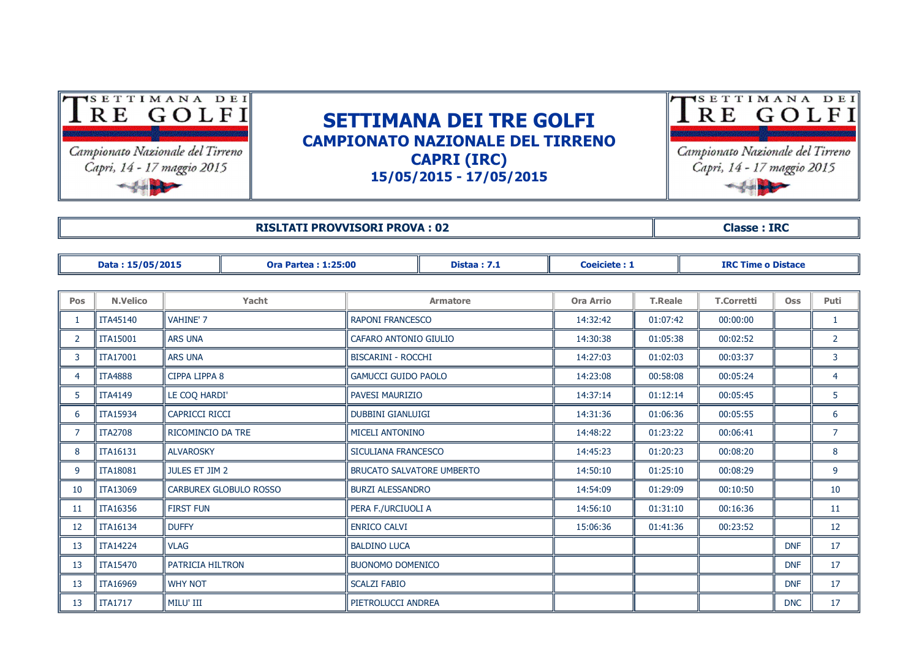

**RISULTATI PROVVISORI PROVA : 02 Classe : IRC**

|                | Data: 15/05/2015 |                       | <b>Ora Partea: 1:25:00</b> |                                  | <b>Coeiciete: 1</b><br><b>Distaa: 7.1</b> |                  |                | <b>IRC Time o Distace</b> |            |                |
|----------------|------------------|-----------------------|----------------------------|----------------------------------|-------------------------------------------|------------------|----------------|---------------------------|------------|----------------|
|                |                  |                       |                            |                                  |                                           |                  |                |                           |            |                |
| Pos            | <b>N.Velico</b>  |                       | Yacht                      | <b>Armatore</b>                  |                                           | <b>Ora Arrio</b> | <b>T.Reale</b> | <b>T.Corretti</b>         | <b>Oss</b> | <b>Puti</b>    |
| 1              | <b>ITA45140</b>  | <b>VAHINE' 7</b>      |                            | <b>RAPONI FRANCESCO</b>          |                                           | 14:32:42         | 01:07:42       | 00:00:00                  |            | $\mathbf{1}$   |
| $\overline{2}$ | <b>ITA15001</b>  | <b>ARS UNA</b>        |                            | CAFARO ANTONIO GIULIO            |                                           | 14:30:38         | 01:05:38       | 00:02:52                  |            | $\overline{2}$ |
| 3              | <b>ITA17001</b>  | <b>ARS UNA</b>        |                            | <b>BISCARINI - ROCCHI</b>        |                                           | 14:27:03         | 01:02:03       | 00:03:37                  |            | 3              |
| $\overline{4}$ | <b>ITA4888</b>   | CIPPA LIPPA 8         |                            | <b>GAMUCCI GUIDO PAOLO</b>       |                                           | 14:23:08         | 00:58:08       | 00:05:24                  |            | 4              |
| 5              | <b>ITA4149</b>   | LE COQ HARDI'         |                            |                                  | PAVESI MAURIZIO                           |                  | 01:12:14       | 00:05:45                  |            | 5              |
| 6              | ITA15934         | <b>CAPRICCI RICCI</b> |                            |                                  | <b>DUBBINI GIANLUIGI</b>                  |                  | 01:06:36       | 00:05:55                  |            | 6              |
| 7              | <b>ITA2708</b>   | RICOMINCIO DA TRE     |                            | MICELI ANTONINO                  |                                           | 14:48:22         | 01:23:22       | 00:06:41                  |            | $\overline{7}$ |
| 8              | <b>ITA16131</b>  | <b>ALVAROSKY</b>      |                            | SICULIANA FRANCESCO              |                                           | 14:45:23         | 01:20:23       | 00:08:20                  |            | 8              |
| 9              | <b>ITA18081</b>  | JULES ET JIM 2        |                            | <b>BRUCATO SALVATORE UMBERTO</b> |                                           | 14:50:10         | 01:25:10       | 00:08:29                  |            | 9              |
| 10             | <b>ITA13069</b>  |                       | CARBUREX GLOBULO ROSSO     | <b>BURZI ALESSANDRO</b>          |                                           | 14:54:09         | 01:29:09       | 00:10:50                  |            | 10             |
| 11             | <b>ITA16356</b>  | <b>FIRST FUN</b>      |                            | PERA F./URCIUOLI A               |                                           | 14:56:10         | 01:31:10       | 00:16:36                  |            | 11             |
| 12             | <b>ITA16134</b>  | <b>DUFFY</b>          |                            | <b>ENRICO CALVI</b>              |                                           | 15:06:36         | 01:41:36       | 00:23:52                  |            | 12             |
| 13             | <b>ITA14224</b>  | <b>VLAG</b>           |                            | <b>BALDINO LUCA</b>              |                                           |                  |                |                           | <b>DNF</b> | 17             |
| 13             | <b>ITA15470</b>  | PATRICIA HILTRON      |                            | <b>BUONOMO DOMENICO</b>          |                                           |                  |                |                           | <b>DNF</b> | 17             |
| 13             | <b>ITA16969</b>  | <b>WHY NOT</b>        |                            | <b>SCALZI FABIO</b>              |                                           |                  |                |                           | <b>DNF</b> | 17             |
| 13             | <b>ITA1717</b>   | MILU' III             |                            | PIETROLUCCI ANDREA               |                                           |                  |                |                           | <b>DNC</b> | 17             |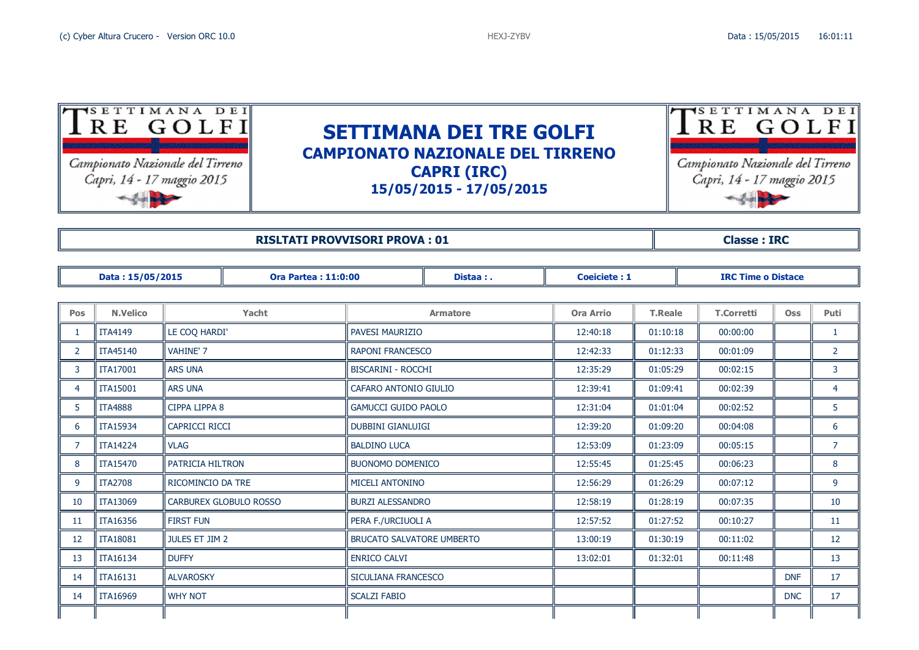| SETTIMANA<br>RE GOLFI<br>Campionato Nazionale del Tirreno<br>Capri, 14 - 17 maggio 2015                 | DEI | <b>SETTIMANA DEI TRE GOLFI</b><br><b>CAMPIONATO NAZIONALE DEL TIRRENO</b><br><b>CAPRI (IRC)</b><br>15/05/2015 - 17/05/2015 |  |  |  |  |  |  |  |
|---------------------------------------------------------------------------------------------------------|-----|----------------------------------------------------------------------------------------------------------------------------|--|--|--|--|--|--|--|
| <b>RISLTATI PROVVISORI PROVA: 01</b><br><b>Classe: IRC</b>                                              |     |                                                                                                                            |  |  |  |  |  |  |  |
| Data: 15/05/2015<br><b>Ora Partea: 11:0:00</b><br>Coeiciete: 1<br><b>IRC Time o Distace</b><br>Distaa:. |     |                                                                                                                            |  |  |  |  |  |  |  |

| Pos          | <b>N.Velico</b> | Yacht                         | <b>Armatore</b>                  | Ora Arrio | <b>T.Reale</b> | <b>T.Corretti</b> | <b>Oss</b> | Puti           |
|--------------|-----------------|-------------------------------|----------------------------------|-----------|----------------|-------------------|------------|----------------|
|              |                 |                               |                                  |           |                |                   |            |                |
|              | <b>ITA4149</b>  | LE COQ HARDI'                 | <b>PAVESI MAURIZIO</b>           | 12:40:18  | 01:10:18       | 00:00:00          |            | $\mathbf{1}$   |
| $\mathbf{2}$ | <b>ITA45140</b> | <b>VAHINE' 7</b>              | <b>RAPONI FRANCESCO</b>          | 12:42:33  | 01:12:33       | 00:01:09          |            | $\overline{2}$ |
| 3            | <b>ITA17001</b> | ARS UNA                       | <b>BISCARINI - ROCCHI</b>        | 12:35:29  | 01:05:29       | 00:02:15          |            | 3              |
| 4            | <b>ITA15001</b> | <b>ARS UNA</b>                | CAFARO ANTONIO GIULIO            | 12:39:41  | 01:09:41       | 00:02:39          |            | $\overline{4}$ |
| 5            | <b>ITA4888</b>  | CIPPA LIPPA 8                 | <b>GAMUCCI GUIDO PAOLO</b>       | 12:31:04  | 01:01:04       | 00:02:52          |            | 5 <sup>5</sup> |
| 6            | <b>ITA15934</b> | <b>CAPRICCI RICCI</b>         | <b>DUBBINI GIANLUIGI</b>         | 12:39:20  | 01:09:20       | 00:04:08          |            | 6              |
| 7            | <b>ITA14224</b> | <b>VLAG</b>                   | <b>BALDINO LUCA</b>              | 12:53:09  | 01:23:09       | 00:05:15          |            | $\overline{7}$ |
| 8            | <b>ITA15470</b> | PATRICIA HILTRON              | <b>BUONOMO DOMENICO</b>          | 12:55:45  | 01:25:45       | 00:06:23          |            | 8              |
| 9            | <b>ITA2708</b>  | RICOMINCIO DA TRE             | <b>MICELI ANTONINO</b>           | 12:56:29  | 01:26:29       | 00:07:12          |            | 9              |
| 10           | <b>ITA13069</b> | <b>CARBUREX GLOBULO ROSSO</b> | <b>BURZI ALESSANDRO</b>          | 12:58:19  | 01:28:19       | 00:07:35          |            | 10             |
| 11           | <b>ITA16356</b> | <b>FIRST FUN</b>              | PERA F./URCIUOLI A               | 12:57:52  | 01:27:52       | 00:10:27          |            | 11             |
| 12           | <b>ITA18081</b> | <b>JULES ET JIM 2</b>         | <b>BRUCATO SALVATORE UMBERTO</b> | 13:00:19  | 01:30:19       | 00:11:02          |            | 12             |
| 13           | <b>ITA16134</b> | <b>DUFFY</b>                  | <b>ENRICO CALVI</b>              | 13:02:01  | 01:32:01       | 00:11:48          |            | 13             |
| 14           | <b>ITA16131</b> | <b>ALVAROSKY</b>              | SICULIANA FRANCESCO              |           |                |                   | <b>DNF</b> | 17             |
| 14           | <b>ITA16969</b> | <b>WHY NOT</b>                | <b>SCALZI FABIO</b>              |           |                |                   | <b>DNC</b> | 17             |
|              |                 |                               |                                  |           |                |                   |            |                |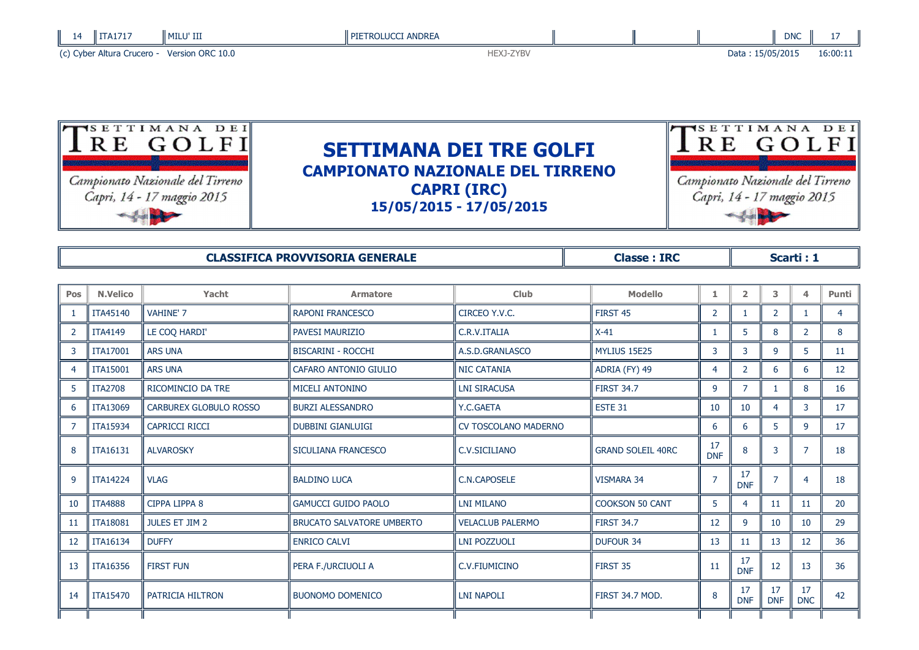| 14 | ITA1717                    | l milu' III      | <b>PIETROLUCCI ANDREA</b> |  |                  | <b>DNC</b> |          |
|----|----------------------------|------------------|---------------------------|--|------------------|------------|----------|
|    | (c) Cyber Altura Crucero - | Version ORC 10.0 | <b>IEXJ-ZYBV</b>          |  | Data: 15/05/2015 |            | 16:00:11 |



| <b>CLASSIFICA PROVVISORIA GENERALE</b> | <b>Classe: IRC</b> | Scarti : 1 |
|----------------------------------------|--------------------|------------|
|----------------------------------------|--------------------|------------|

| Pos            | <b>N.Velico</b> | Yacht                  | <b>Armatore</b>                  | <b>Club</b>             | <b>Modello</b>           | 1.               | $\overline{2}$   | 3                | $\blacktriangle$ | Punti           |
|----------------|-----------------|------------------------|----------------------------------|-------------------------|--------------------------|------------------|------------------|------------------|------------------|-----------------|
|                | ITA45140        | VAHINE' 7              | <b>RAPONI FRANCESCO</b>          | CIRCEO Y.V.C.           | FIRST 45                 | $\overline{2}$   |                  | $\overline{2}$   |                  | $\overline{4}$  |
| $\overline{2}$ | <b>ITA4149</b>  | LE COQ HARDI'          | <b>PAVESI MAURIZIO</b>           | C.R.V.ITALIA            | $X-41$                   |                  | 5                | 8                | $\overline{2}$   | 8               |
| 3              | ITA17001        | <b>ARS UNA</b>         | <b>BISCARINI - ROCCHI</b>        | A.S.D.GRANLASCO         | MYLIUS 15E25             | 3                | 3                | 9                | 5                | 11              |
| 4              | <b>ITA15001</b> | <b>ARS UNA</b>         | CAFARO ANTONIO GIULIO            | <b>NIC CATANIA</b>      | ADRIA (FY) 49            | 4                | $\overline{2}$   | 6                | 6                | 12 <sup>2</sup> |
| 5              | <b>ITA2708</b>  | RICOMINCIO DA TRE      | MICELI ANTONINO                  | <b>LNI SIRACUSA</b>     | <b>FIRST 34.7</b>        | 9                | $\overline{7}$   |                  | 8                | 16              |
| 6              | ITA13069        | CARBUREX GLOBULO ROSSO | <b>BURZI ALESSANDRO</b>          | Y.C.GAETA               | ESTE 31                  | 10               | 10               | 4                | 3                | 17              |
| 7              | ITA15934        | <b>CAPRICCI RICCI</b>  | <b>DUBBINI GIANLUIGI</b>         | CV TOSCOLANO MADERNO    |                          | 6                | 6                | 5                | 9                | 17              |
| 8              | ITA16131        | <b>ALVAROSKY</b>       | SICULIANA FRANCESCO              | C.V.SICILIANO           | <b>GRAND SOLEIL 40RC</b> | 17<br><b>DNF</b> | 8                | 3                |                  | 18              |
| 9              | <b>ITA14224</b> | <b>VLAG</b>            | <b>BALDINO LUCA</b>              | <b>C.N.CAPOSELE</b>     | <b>VISMARA 34</b>        | $\overline{7}$   | 17<br><b>DNF</b> |                  | 4                | 18              |
| 10             | <b>ITA4888</b>  | <b>CIPPA LIPPA 8</b>   | <b>GAMUCCI GUIDO PAOLO</b>       | <b>LNI MILANO</b>       | <b>COOKSON 50 CANT</b>   | 5                | 4                | 11               | 11               | 20              |
| -11            | <b>ITA18081</b> | <b>JULES ET JIM 2</b>  | <b>BRUCATO SALVATORE UMBERTO</b> | <b>VELACLUB PALERMO</b> | <b>FIRST 34.7</b>        | 12               | 9                | 10               | 10               | 29              |
| 12             | ITA16134        | <b>DUFFY</b>           | <b>ENRICO CALVI</b>              | <b>LNI POZZUOLI</b>     | <b>DUFOUR 34</b>         | 13               | 11               | 13               | 12               | 36              |
| 13             | ITA16356        | <b>FIRST FUN</b>       | PERA F./URCIUOLI A               | C.V.FIUMICINO           | FIRST 35                 | 11               | 17<br><b>DNF</b> | 12               | 13               | 36              |
| 14             | ITA15470        | PATRICIA HILTRON       | <b>BUONOMO DOMENICO</b>          | <b>LNI NAPOLI</b>       | FIRST 34.7 MOD.          | 8                | 17<br><b>DNF</b> | 17<br><b>DNF</b> | 17<br><b>DNC</b> | 42              |
|                |                 |                        |                                  |                         |                          |                  |                  |                  |                  |                 |